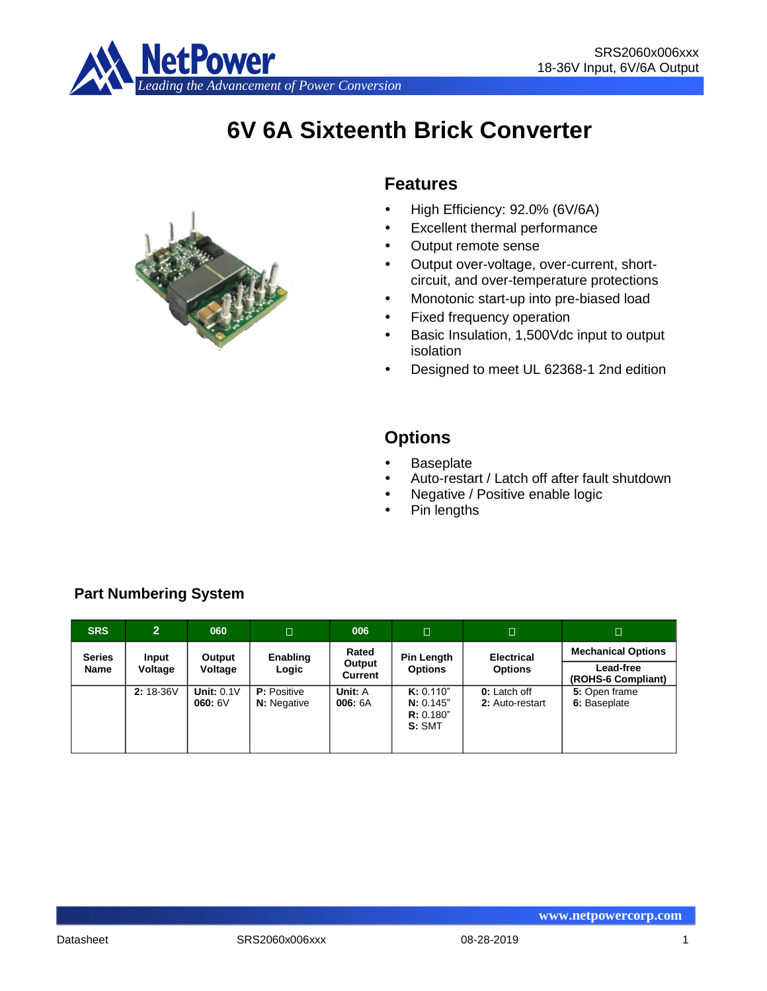

# **6V 6A Sixteenth Brick Converter**



## **Features**

- High Efficiency: 92.0% (6V/6A)
- Excellent thermal performance
- Output remote sense
- Output over-voltage, over-current, shortcircuit, and over-temperature protections
- Monotonic start-up into pre-biased load
- Fixed frequency operation
- Basic Insulation, 1,500Vdc input to output isolation
- Designed to meet UL 62368-1 2nd edition

# **Options**

- **Baseplate**
- Auto-restart / Latch off after fault shutdown
- Negative / Positive enable logic
- Pin lengths

| <b>SRS</b>    | $\overline{2}$ | 060                    | □                                        | 006                | $\Box$                                       | םו                                     | $\Box$                          |
|---------------|----------------|------------------------|------------------------------------------|--------------------|----------------------------------------------|----------------------------------------|---------------------------------|
| <b>Series</b> | Input          | Output                 | Enabling                                 | Rated              | <b>Pin Length</b>                            | <b>Electrical</b>                      | <b>Mechanical Options</b>       |
| <b>Name</b>   | Voltage        | Voltage                | Logic                                    | Output<br>Current  | <b>Options</b>                               | <b>Options</b>                         | Lead-free<br>(ROHS-6 Compliant) |
|               | $2:18-36V$     | Unit: $0.1V$<br>060:6V | <b>P:</b> Positive<br><b>N:</b> Negative | Unit: A<br>006: 6A | K: 0.110"<br>N: 0.145"<br>R: 0.180"<br>S:SMT | <b>0:</b> Latch off<br>2: Auto-restart | 5: Open frame<br>6: Baseplate   |

## **Part Numbering System**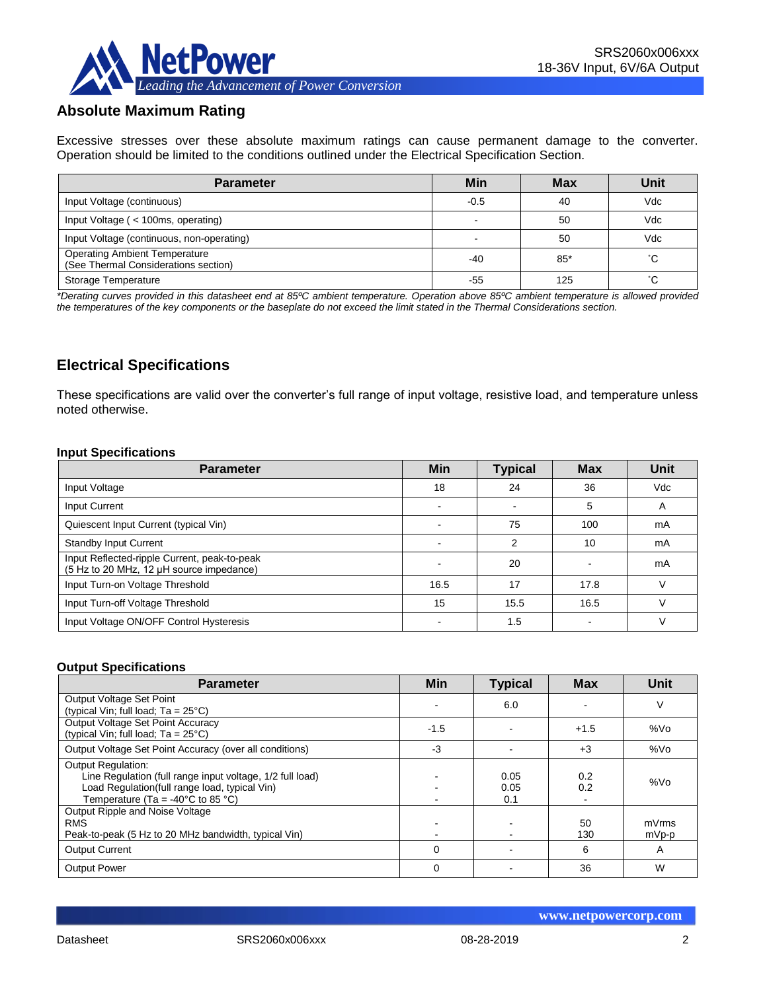

## **Absolute Maximum Rating**

Excessive stresses over these absolute maximum ratings can cause permanent damage to the converter. Operation should be limited to the conditions outlined under the Electrical Specification Section.

| <b>Parameter</b>                                                             | Min    | <b>Max</b> | Unit |
|------------------------------------------------------------------------------|--------|------------|------|
| Input Voltage (continuous)                                                   | $-0.5$ | 40         | Vdc  |
| Input Voltage (< 100ms, operating)                                           |        | 50         | Vdc  |
| Input Voltage (continuous, non-operating)                                    |        | 50         | Vdc  |
| <b>Operating Ambient Temperature</b><br>(See Thermal Considerations section) | $-40$  | $85*$      | °С   |
| Storage Temperature                                                          | -55    | 125        | °С   |

*\*Derating curves provided in this datasheet end at 85ºC ambient temperature. Operation above 85ºC ambient temperature is allowed provided the temperatures of the key components or the baseplate do not exceed the limit stated in the Thermal Considerations section.*

## **Electrical Specifications**

These specifications are valid over the converter's full range of input voltage, resistive load, and temperature unless noted otherwise.

#### **Input Specifications**

| <b>Parameter</b>                                                                         | <b>Min</b>               | <b>Typical</b> | <b>Max</b> | Unit       |
|------------------------------------------------------------------------------------------|--------------------------|----------------|------------|------------|
| Input Voltage                                                                            | 18                       | 24             | 36         | <b>Vdc</b> |
| Input Current                                                                            | $\overline{\phantom{0}}$ |                | 5          | A          |
| Quiescent Input Current (typical Vin)                                                    | $\overline{\phantom{0}}$ | 75             | 100        | mA         |
| <b>Standby Input Current</b>                                                             |                          | 2              | 10         | mA         |
| Input Reflected-ripple Current, peak-to-peak<br>(5 Hz to 20 MHz, 12 µH source impedance) |                          | 20             |            | mA         |
| Input Turn-on Voltage Threshold                                                          | 16.5                     | 17             | 17.8       |            |
| Input Turn-off Voltage Threshold                                                         | 15                       | 15.5           | 16.5       |            |
| Input Voltage ON/OFF Control Hysteresis                                                  |                          | 1.5            |            |            |

#### **Output Specifications**

| <b>Parameter</b>                                                                                                                                                                                | Min      | <b>Typical</b>      | <b>Max</b> | Unit           |
|-------------------------------------------------------------------------------------------------------------------------------------------------------------------------------------------------|----------|---------------------|------------|----------------|
| Output Voltage Set Point<br>(typical Vin; full load; $Ta = 25^{\circ}C$ )                                                                                                                       |          | 6.0                 |            | V              |
| Output Voltage Set Point Accuracy<br>(typical Vin; full load; $Ta = 25^{\circ}C$ )                                                                                                              | $-1.5$   |                     | $+1.5$     | %Vo            |
| Output Voltage Set Point Accuracy (over all conditions)                                                                                                                                         | -3       |                     | $+3$       | %Vo            |
| <b>Output Regulation:</b><br>Line Regulation (full range input voltage, 1/2 full load)<br>Load Regulation(full range load, typical Vin)<br>Temperature (Ta = -40 $\degree$ C to 85 $\degree$ C) |          | 0.05<br>0.05<br>0.1 | 0.2<br>0.2 | %Vo            |
| Output Ripple and Noise Voltage<br><b>RMS</b><br>Peak-to-peak (5 Hz to 20 MHz bandwidth, typical Vin)                                                                                           |          |                     | 50<br>130  | mVrms<br>mVp-p |
| <b>Output Current</b>                                                                                                                                                                           | $\Omega$ |                     | 6          | A              |
| <b>Output Power</b>                                                                                                                                                                             | 0        |                     | 36         | W              |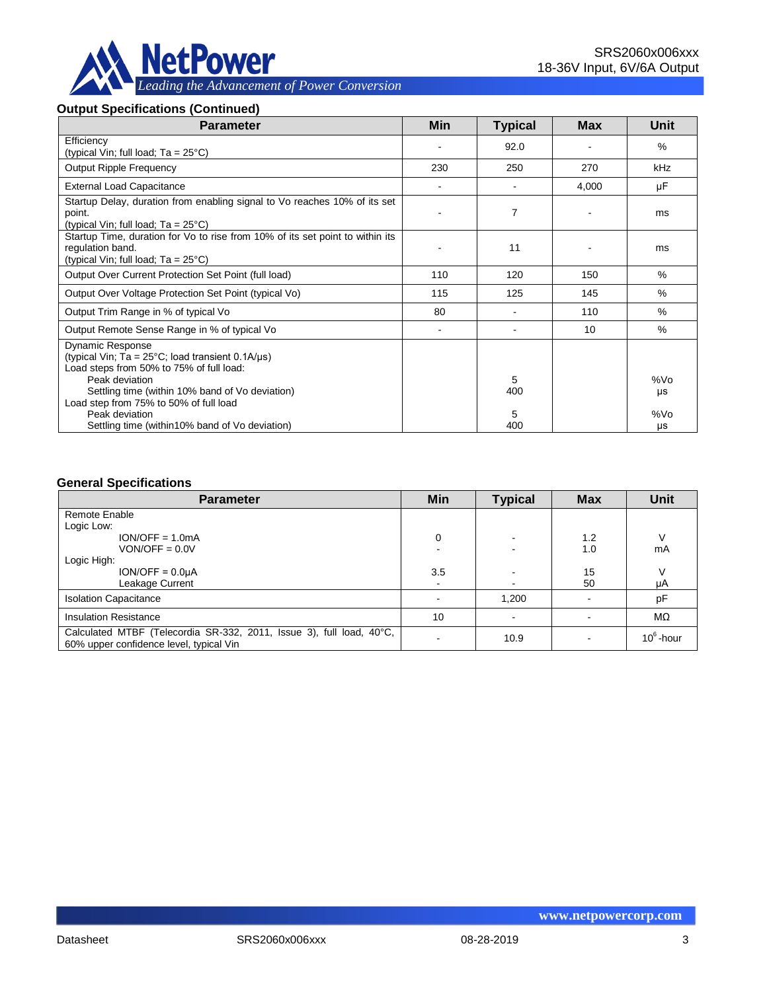

## **Output Specifications (Continued)**

| <b>Parameter</b>                                                                                                                                                                                                                                                  | Min            | <b>Typical</b> | <b>Max</b> | <b>Unit</b>      |
|-------------------------------------------------------------------------------------------------------------------------------------------------------------------------------------------------------------------------------------------------------------------|----------------|----------------|------------|------------------|
| Efficiency<br>(typical Vin; full load; Ta = 25°C)                                                                                                                                                                                                                 |                | 92.0           |            | $\%$             |
| <b>Output Ripple Frequency</b>                                                                                                                                                                                                                                    | 230            | 250            | 270        | kHz              |
| <b>External Load Capacitance</b>                                                                                                                                                                                                                                  |                |                | 4,000      | μF               |
| Startup Delay, duration from enabling signal to Vo reaches 10% of its set<br>point.<br>(typical Vin; full load; $Ta = 25^{\circ}C$ )                                                                                                                              |                | 7              |            | ms               |
| Startup Time, duration for Vo to rise from 10% of its set point to within its<br>regulation band.<br>(typical Vin; full load; $Ta = 25^{\circ}C$ )                                                                                                                |                | 11             |            | ms               |
| Output Over Current Protection Set Point (full load)                                                                                                                                                                                                              | 110            | 120            | 150        | $\%$             |
| Output Over Voltage Protection Set Point (typical Vo)                                                                                                                                                                                                             | 115            | 125            | 145        | $\%$             |
| Output Trim Range in % of typical Vo                                                                                                                                                                                                                              | 80             |                | 110        | $\%$             |
| Output Remote Sense Range in % of typical Vo                                                                                                                                                                                                                      | $\blacksquare$ |                | 10         | $\%$             |
| Dynamic Response<br>(typical Vin; Ta = $25^{\circ}$ C; load transient 0.1A/ $\mu$ s)<br>Load steps from 50% to 75% of full load:<br>Peak deviation<br>Settling time (within 10% band of Vo deviation)<br>Load step from 75% to 50% of full load<br>Peak deviation |                | 5<br>400<br>5  |            | %Vo<br>μs<br>%Vo |
| Settling time (within 10% band of Vo deviation)                                                                                                                                                                                                                   |                | 400            |            | μs               |

#### **General Specifications**

| <b>Parameter</b>                                                                                                | Min | <b>Typical</b> | <b>Max</b> | <b>Unit</b>  |
|-----------------------------------------------------------------------------------------------------------------|-----|----------------|------------|--------------|
| Remote Enable                                                                                                   |     |                |            |              |
| Logic Low:                                                                                                      |     |                |            |              |
| $ION/OFF = 1.0mA$                                                                                               | 0   | $\sim$         | 1.2        |              |
| $VON/OFF = 0.0V$                                                                                                |     |                | 1.0        | mA           |
| Logic High:                                                                                                     |     |                |            |              |
| $ION/OFF = 0.0UA$                                                                                               | 3.5 |                | 15         |              |
| Leakage Current                                                                                                 | ۰   | $\blacksquare$ | 50         | μA           |
| <b>Isolation Capacitance</b>                                                                                    |     | 1,200          |            | pF           |
| <b>Insulation Resistance</b>                                                                                    | 10  |                |            | $M\Omega$    |
| Calculated MTBF (Telecordia SR-332, 2011, Issue 3), full load, 40°C,<br>60% upper confidence level, typical Vin |     | 10.9           |            | $10^6$ -hour |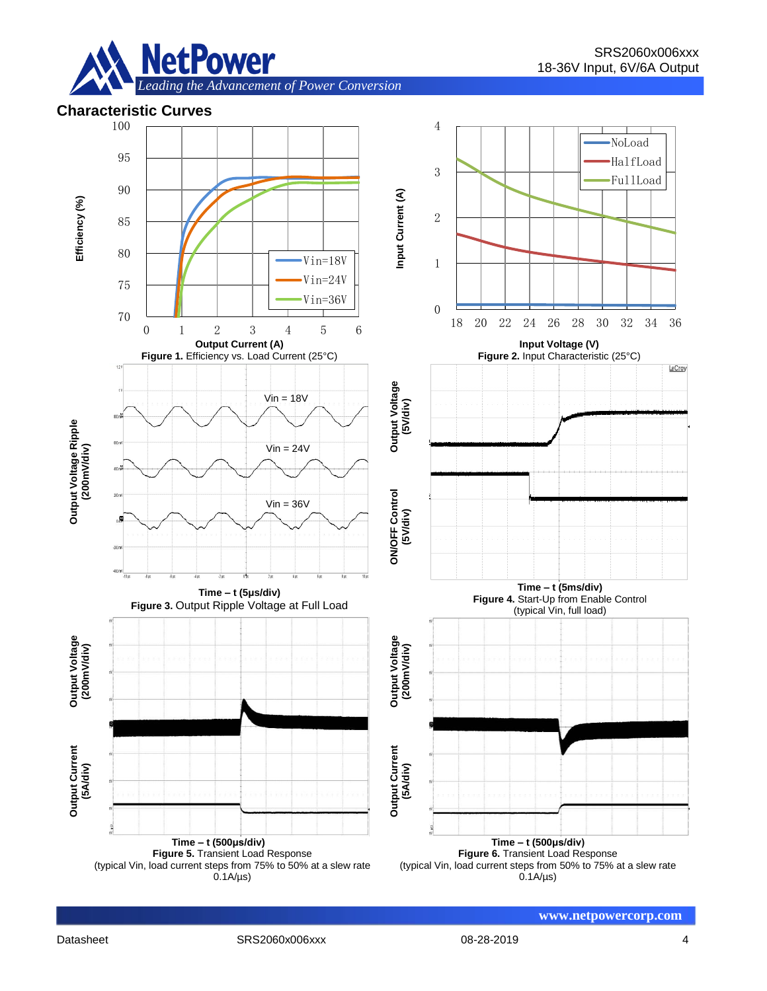

## **Characteristic Curves**

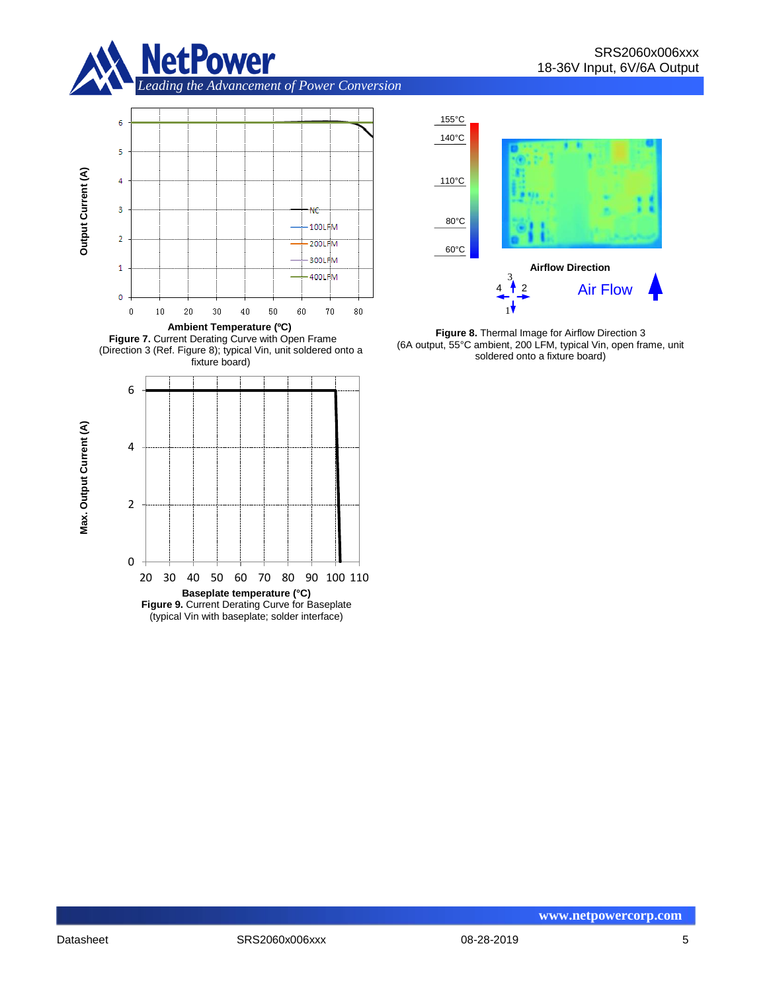



**Figure 7.** Current Derating Curve with Open Frame (Direction 3 (Ref. Figure 8); typical Vin, unit soldered onto a fixture board)





**Figure 8.** Thermal Image for Airflow Direction 3 (6A output, 55°C ambient, 200 LFM, typical Vin, open frame, unit soldered onto a fixture board)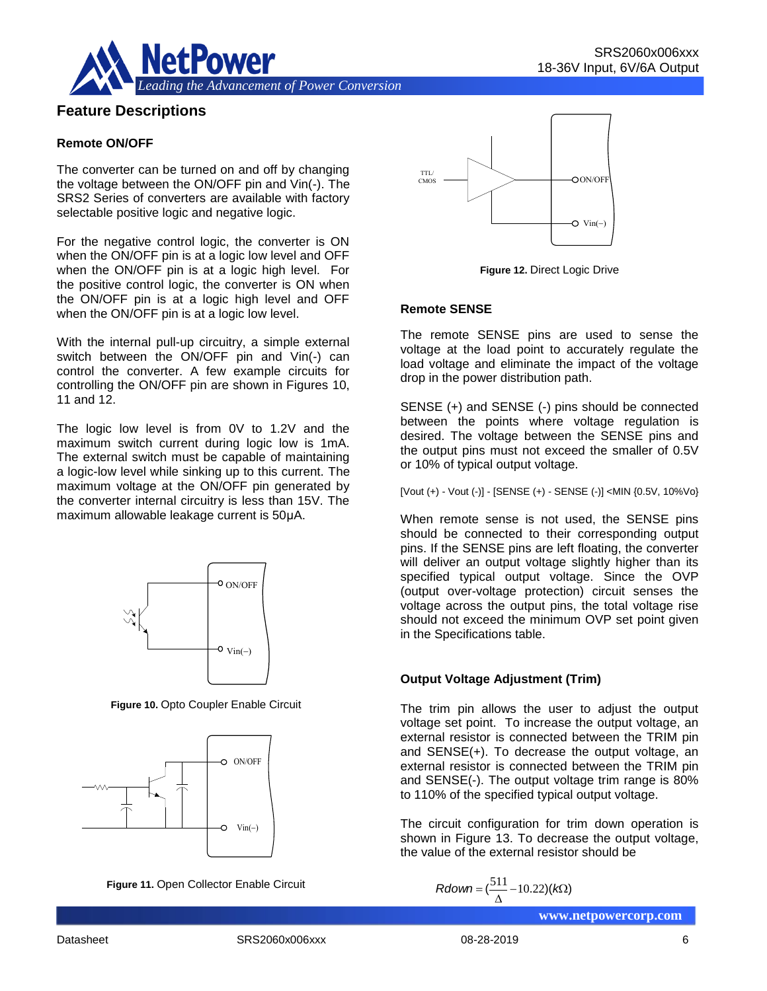

## **Feature Descriptions**

#### **Remote ON/OFF**

The converter can be turned on and off by changing the voltage between the ON/OFF pin and Vin(-). The SRS2 Series of converters are available with factory selectable positive logic and negative logic.

For the negative control logic, the converter is ON when the ON/OFF pin is at a logic low level and OFF when the ON/OFF pin is at a logic high level. For the positive control logic, the converter is ON when the ON/OFF pin is at a logic high level and OFF when the ON/OFF pin is at a logic low level.

With the internal pull-up circuitry, a simple external switch between the ON/OFF pin and Vin(-) can control the converter. A few example circuits for controlling the ON/OFF pin are shown in Figures 10, 11 and 12.

The logic low level is from 0V to 1.2V and the maximum switch current during logic low is 1mA. The external switch must be capable of maintaining a logic-low level while sinking up to this current. The maximum voltage at the ON/OFF pin generated by the converter internal circuitry is less than 15V. The maximum allowable leakage current is 50μA.



**Figure 10.** Opto Coupler Enable Circuit



**Figure 11.** Open Collector Enable Circuit



**Figure 12.** Direct Logic Drive

#### **Remote SENSE**

The remote SENSE pins are used to sense the voltage at the load point to accurately regulate the load voltage and eliminate the impact of the voltage drop in the power distribution path.

SENSE (+) and SENSE (-) pins should be connected between the points where voltage regulation is desired. The voltage between the SENSE pins and the output pins must not exceed the smaller of 0.5V or 10% of typical output voltage.

[Vout (+) - Vout (-)] - [SENSE (+) - SENSE (-)] <MIN {0.5V, 10%Vo}

When remote sense is not used, the SENSE pins should be connected to their corresponding output pins. If the SENSE pins are left floating, the converter will deliver an output voltage slightly higher than its specified typical output voltage. Since the OVP (output over-voltage protection) circuit senses the voltage across the output pins, the total voltage rise should not exceed the minimum OVP set point given in the Specifications table.

#### **Output Voltage Adjustment (Trim)**

The trim pin allows the user to adjust the output voltage set point. To increase the output voltage, an external resistor is connected between the TRIM pin and SENSE(+). To decrease the output voltage, an external resistor is connected between the TRIM pin and SENSE(-). The output voltage trim range is 80% to 110% of the specified typical output voltage. ON/OFF<br>
(output over-voltage<br>
vin(-)<br>
vin(-)<br>
(output over-voltage across the<br>
should not exceed in the Specifications<br>
output Voltage Ad<br>
in the Specifications<br>
Output Voltage Ad<br>
Output Voltage Ad<br>
voltage set point. T<br>

The circuit configuration for trim down operation is shown in Figure 13. To decrease the output voltage, the value of the external resistor should be

$$
Rdown = (\frac{511}{\Delta} - 10.22)(k\Omega)
$$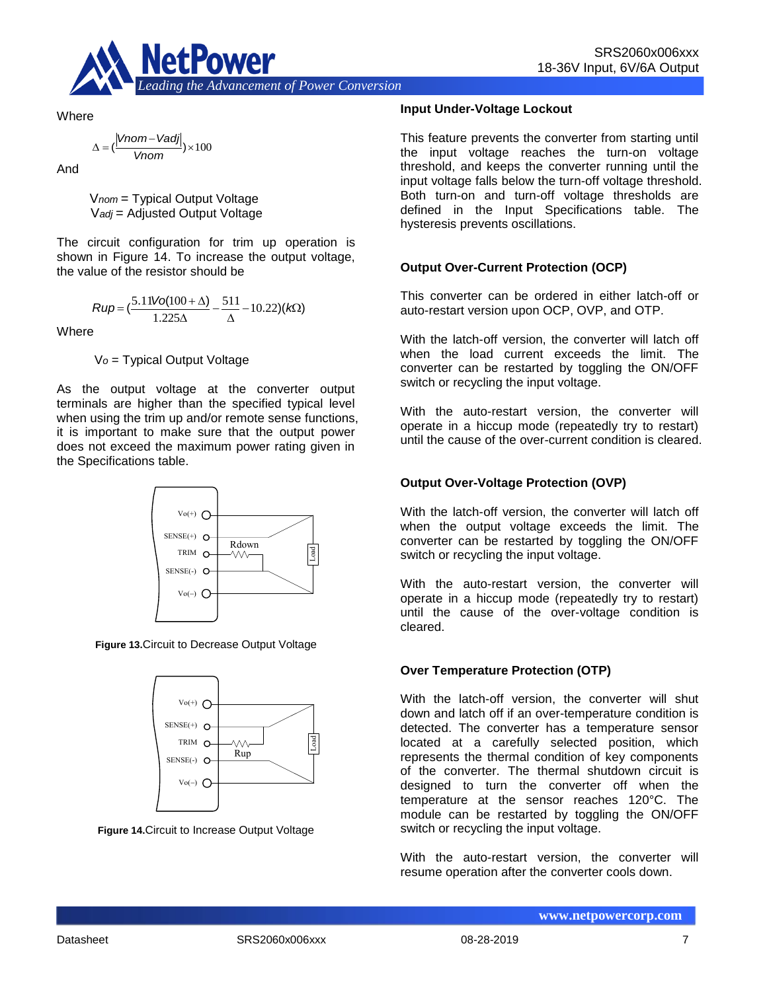

**Where** 

$$
\Delta = (\frac{|Vnom-Vadj|}{Vnom}) \times 100
$$

And

V*nom* = Typical Output Voltage V*adj* = Adjusted Output Voltage

The circuit configuration for trim up operation is shown in Figure 14. To increase the output voltage, the value of the resistor should be

$$
Rup = \left(\frac{5.11\text{Vol}(100 + \Delta)}{1.225\Delta} - \frac{511}{\Delta} - 10.22\right)(k\Omega)
$$

**Where** 

V*o* = Typical Output Voltage

As the output voltage at the converter output terminals are higher than the specified typical level when using the trim up and/or remote sense functions, it is important to make sure that the output power does not exceed the maximum power rating given in the Specifications table.



**Figure 13.**Circuit to Decrease Output Voltage



**Figure 14.**Circuit to Increase Output Voltage

#### **Input Under-Voltage Lockout**

This feature prevents the converter from starting until the input voltage reaches the turn-on voltage threshold, and keeps the converter running until the input voltage falls below the turn-off voltage threshold. Both turn-on and turn-off voltage thresholds are defined in the Input Specifications table. The hysteresis prevents oscillations.

#### **Output Over-Current Protection (OCP)**

This converter can be ordered in either latch-off or auto-restart version upon OCP, OVP, and OTP.

With the latch-off version, the converter will latch off when the load current exceeds the limit. The converter can be restarted by toggling the ON/OFF switch or recycling the input voltage.

With the auto-restart version, the converter will operate in a hiccup mode (repeatedly try to restart) until the cause of the over-current condition is cleared.

#### **Output Over-Voltage Protection (OVP)**

With the latch-off version, the converter will latch off when the output voltage exceeds the limit. The converter can be restarted by toggling the ON/OFF switch or recycling the input voltage.

With the auto-restart version, the converter will operate in a hiccup mode (repeatedly try to restart) until the cause of the over-voltage condition is cleared.

#### **Over Temperature Protection (OTP)**

With the latch-off version, the converter will shut down and latch off if an over-temperature condition is detected. The converter has a temperature sensor located at a carefully selected position, which represents the thermal condition of key components of the converter. The thermal shutdown circuit is designed to turn the converter off when the temperature at the sensor reaches 120°C. The module can be restarted by toggling the ON/OFF switch or recycling the input voltage.

With the auto-restart version, the converter will resume operation after the converter cools down.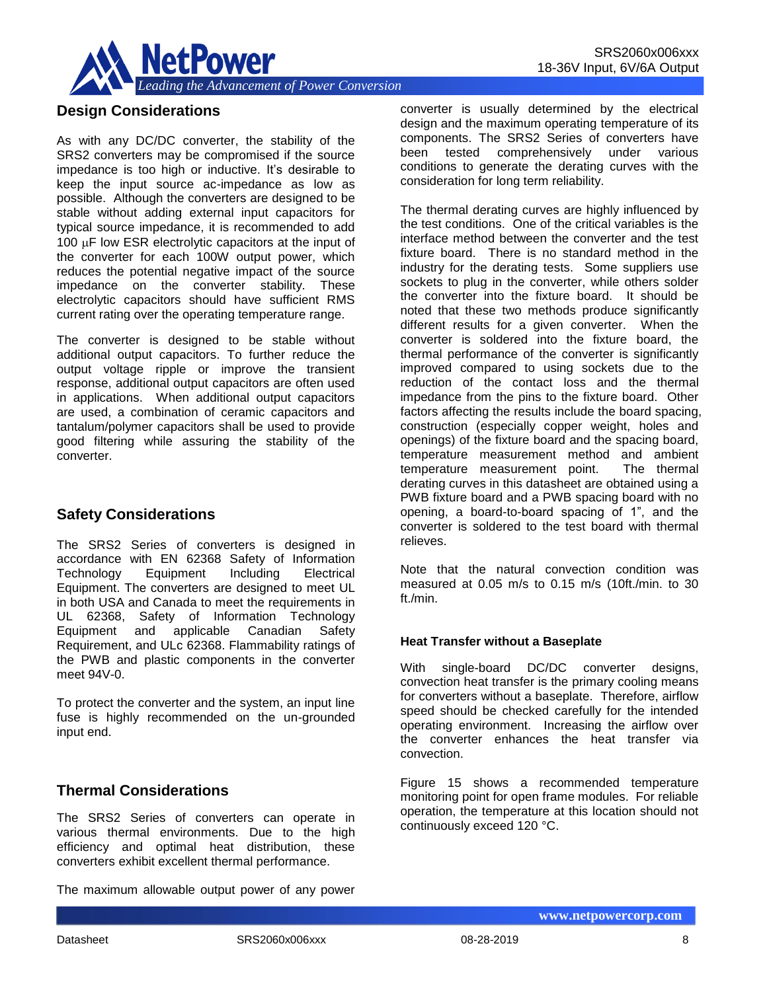

## **Design Considerations**

As with any DC/DC converter, the stability of the SRS2 converters may be compromised if the source impedance is too high or inductive. It's desirable to keep the input source ac-impedance as low as possible. Although the converters are designed to be stable without adding external input capacitors for typical source impedance, it is recommended to add 100  $\mu$ F low ESR electrolytic capacitors at the input of the converter for each 100W output power, which reduces the potential negative impact of the source impedance on the converter stability. These electrolytic capacitors should have sufficient RMS current rating over the operating temperature range.

The converter is designed to be stable without additional output capacitors. To further reduce the output voltage ripple or improve the transient response, additional output capacitors are often used in applications. When additional output capacitors are used, a combination of ceramic capacitors and tantalum/polymer capacitors shall be used to provide good filtering while assuring the stability of the converter.

## **Safety Considerations**

The SRS2 Series of converters is designed in accordance with EN 62368 Safety of Information Technology Equipment Including Electrical Equipment. The converters are designed to meet UL in both USA and Canada to meet the requirements in UL 62368, Safety of Information Technology Equipment and applicable Canadian Safety Requirement, and ULc 62368. Flammability ratings of the PWB and plastic components in the converter meet 94V-0.

To protect the converter and the system, an input line fuse is highly recommended on the un-grounded input end.

## **Thermal Considerations**

The SRS2 Series of converters can operate in various thermal environments. Due to the high efficiency and optimal heat distribution, these converters exhibit excellent thermal performance.

The maximum allowable output power of any power

converter is usually determined by the electrical design and the maximum operating temperature of its components. The SRS2 Series of converters have been tested comprehensively under various conditions to generate the derating curves with the consideration for long term reliability.

The thermal derating curves are highly influenced by the test conditions. One of the critical variables is the interface method between the converter and the test fixture board. There is no standard method in the industry for the derating tests. Some suppliers use sockets to plug in the converter, while others solder the converter into the fixture board. It should be noted that these two methods produce significantly different results for a given converter. When the converter is soldered into the fixture board, the thermal performance of the converter is significantly improved compared to using sockets due to the reduction of the contact loss and the thermal impedance from the pins to the fixture board. Other factors affecting the results include the board spacing, construction (especially copper weight, holes and openings) of the fixture board and the spacing board, temperature measurement method and ambient<br>temperature measurement point. The thermal temperature measurement point. derating curves in this datasheet are obtained using a PWB fixture board and a PWB spacing board with no opening, a board-to-board spacing of 1", and the converter is soldered to the test board with thermal relieves.

Note that the natural convection condition was measured at 0.05 m/s to 0.15 m/s (10ft./min. to 30 ft./min.

#### **Heat Transfer without a Baseplate**

With single-board DC/DC converter designs, convection heat transfer is the primary cooling means for converters without a baseplate. Therefore, airflow speed should be checked carefully for the intended operating environment. Increasing the airflow over the converter enhances the heat transfer via convection.

Figure 15 shows a recommended temperature monitoring point for open frame modules. For reliable operation, the temperature at this location should not continuously exceed 120 °C.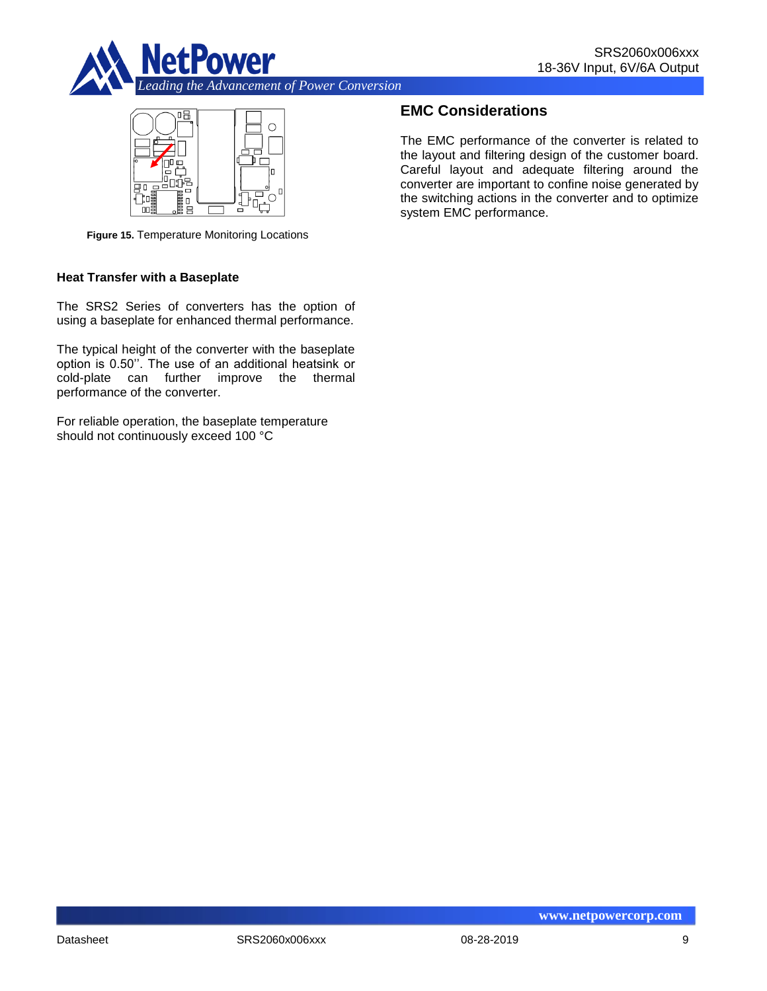



**Figure 15.** Temperature Monitoring Locations

#### **Heat Transfer with a Baseplate**

The SRS2 Series of converters has the option of using a baseplate for enhanced thermal performance.

The typical height of the converter with the baseplate option is 0.50''. The use of an additional heatsink or cold-plate can further improve the thermal performance of the converter.

For reliable operation, the baseplate temperature should not continuously exceed 100 °C

## **EMC Considerations**

The EMC performance of the converter is related to the layout and filtering design of the customer board. Careful layout and adequate filtering around the converter are important to confine noise generated by the switching actions in the converter and to optimize system EMC performance.